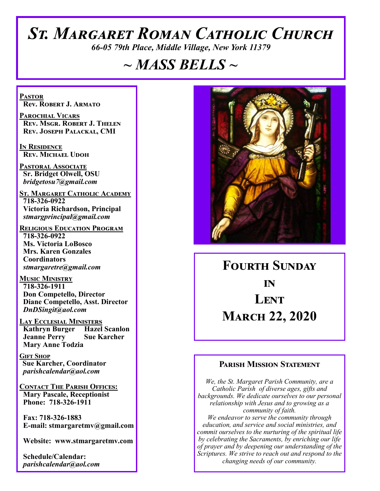# *St. Margaret Roman Catholic Church*

*66-05 79th Place, Middle Village, New York 11379*

# *~ MASS BELLS ~*

**Pastor Rev. Robert J. Armato**

**Parochial Vicars Rev. Msgr. Robert J. Thelen Rev. Joseph Palackal, CMI**

**In Residence Rev. Michael Udoh**

**Pastoral Associate Sr. Bridget Olwell, OSU**  *bridgetosu7@gmail.com*

**St. Margaret Catholic Academy 718-326-0922 Victoria Richardson, Principal**  *stmargprincipal@gmail.com*

**Religious Education Program 718-326-0922 Ms. Victoria LoBosco Mrs. Karen Gonzales Coordinators** *stmargaretre@gmail.com*

**Music Ministry 718-326-1911 Don Competello, Director Diane Competello, Asst. Director** *DnDSingit@aol.com*

**LAY ECCLESIAL MINISTERS<br>
Kathryn Burger Hazel Scanlon Kathryn Burger Jeanne Perry Sue Karcher Mary Anne Todzia**

**Gift Shop Sue Karcher, Coordinator** *parishcalendar@aol.com*

**Contact The Parish Offices: Mary Pascale, Receptionist Phone: 718-326-1911** 

 **Fax: 718-326-1883 E-mail: stmargaretmv@gmail.com**

 **Website: www.stmargaretmv.com**

 **Schedule/Calendar:** *parishcalendar@aol.com* 



**Fourth Sunday in Lent March 22, 2020** 

#### **Parish Mission Statement**

*We, the St. Margaret Parish Community, are a Catholic Parish of diverse ages, gifts and backgrounds. We dedicate ourselves to our personal relationship with Jesus and to growing as a community of faith. We endeavor to serve the community through education, and service and social ministries, and commit ourselves to the nurturing of the spiritual life by celebrating the Sacraments, by enriching our life of prayer and by deepening our understanding of the Scriptures. We strive to reach out and respond to the changing needs of our community.*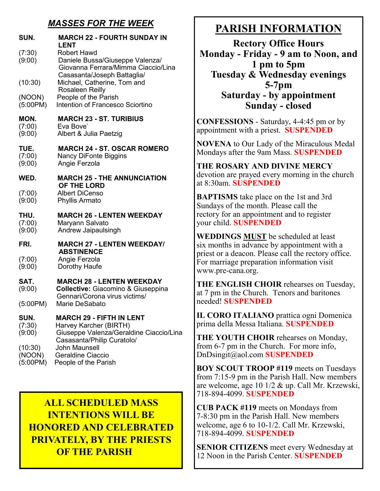### *MASSES FOR THE WEEK*

| SUN.                          | <b>MARCH 22 - FOURTH SUNDAY IN</b><br><b>LENT</b>                                                                                  |
|-------------------------------|------------------------------------------------------------------------------------------------------------------------------------|
| (7:30)<br>(9:00)              | Robert Hawd<br>Daniele Bussa/Giuseppe Valenza/<br>Giovanna Ferrara/Mimma Ciaccio/Lina                                              |
| (10:30)                       | Casasanta/Joseph Battaglia/<br>Michael, Catherine, Tom and<br>Rosaleen Reilly                                                      |
| (NOON)<br>(5:00PM)            | People of the Parish<br>Intention of Francesco Sciortino                                                                           |
| MON.<br>(7:00)<br>(9:00)      | <b>MARCH 23 - ST. TURIBIUS</b><br>Eva Bove'<br>Albert & Julia Paetzig                                                              |
| TUE.<br>(7:00)<br>(9:00)      | <b>MARCH 24 - ST. OSCAR ROMERO</b><br><b>Nancy DiFonte Biggins</b><br>Angie Ferzola                                                |
| WED.                          | <b>MARCH 25 - THE ANNUNCIATION</b><br>OF THE LORD                                                                                  |
| (7:00)<br>(9:00)              | <b>Albert DiCenso</b><br><b>Phyllis Armato</b>                                                                                     |
| THU.<br>(7:00)<br>(9:00)      | <b>MARCH 26 - LENTEN WEEKDAY</b><br>Maryann Salvato<br>Andrew Jaipaulsingh                                                         |
| FRI.                          | <b>MARCH 27 - LENTEN WEEKDAY/</b><br><b>ABSTINENCE</b>                                                                             |
| (7:00)<br>(9:00)              | Angie Ferzola<br>Dorothy Haufe                                                                                                     |
| SAT.<br>(9:00)                | <b>MARCH 28 - LENTEN WEEKDAY</b><br><b>Collective: Giacomino &amp; Giuseppina</b><br>Gennari/Corona virus victims/                 |
| (5:00PM)                      | Marie DeSabato                                                                                                                     |
| SUN.<br>(7:30)<br>(9:00)      | <b>MARCH 29 - FIFTH IN LENT</b><br>Harvey Karcher (BIRTH)<br>Giuseppe Valenza/Geraldine Ciaccio/Lina<br>Casasanta/Philip Curatolo/ |
| (10:30)<br>(NOON)<br>(5:00PM) | <b>John Maunsell</b><br>Geraldine Ciaccio<br>People of the Parish                                                                  |

# **ALL SCHEDULED MASS INTENTIONS WILL BE HONORED AND CELEBRATED PRIVATELY, BY THE PRIESTS OF THE PARISH**

# **PARISH INFORMATION**

**Rectory Office Hours Monday - Friday - 9 am to Noon, and 1 pm to 5pm Tuesday & Wednesday evenings 5-7pm Saturday - by appointment Sunday - closed**

**CONFESSIONS** - Saturday, 4-4:45 pm or by appointment with a priest. **SUSPENDED**

**NOVENA** to Our Lady of the Miraculous Medal Mondays after the 9am Mass. **SUSPENDED**

**THE ROSARY AND DIVINE MERCY** devotion are prayed every morning in the church at 8:30am. **SUSPENDED**

**BAPTISMS** take place on the 1st and 3rd Sundays of the month. Please call the rectory for an appointment and to register your child. **SUSPENDED**

**WEDDINGS MUST** be scheduled at least six months in advance by appointment with a priest or a deacon. Please call the rectory office. For marriage preparation information visit www.pre-cana.org.

**THE ENGLISH CHOIR** rehearses on Tuesday, at 7 pm in the Church. Tenors and baritones needed! **SUSPENDED**

**IL CORO ITALIANO** prattica ogni Domenica prima della Messa Italiana. **SUSPENDED**

**THE YOUTH CHOIR** rehearses on Monday, from 6-7 pm in the Church. For more info, DnDsingit@aol.com **SUSPENDED**

**BOY SCOUT TROOP #119** meets on Tuesdays from 7:15-9 pm in the Parish Hall. New members are welcome, age 10 1/2 & up. Call Mr. Krzewski, 718-894-4099. **SUSPENDED**

**CUB PACK #119** meets on Mondays from 7-8:30 pm in the Parish Hall. New members welcome, age 6 to 10-1/2. Call Mr. Krzewski, 718-894-4099. **SUSPENDED**

**SENIOR CITIZENS** meet every Wednesday at 12 Noon in the Parish Center. **SUSPENDED**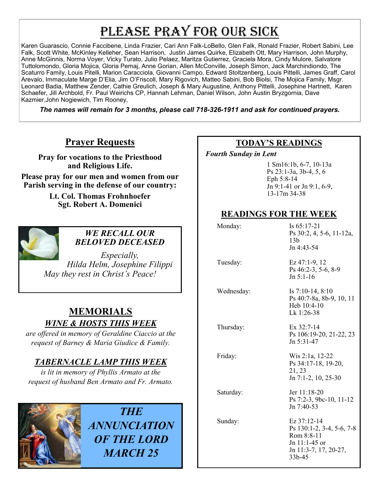# PLEASE PRAY FOR OUR SICK

Karen Guarascio, Connie Faccibene, Linda Frazier, Cari Ann Falk-LoBello, Glen Falk, Ronald Frazier, Robert Sabini, Lee Falk, Scott White, McKinley Kelleher, Sean Harrison, Justin James Quirke, Elizabeth Ott, Mary Harrison, John Murphy, Anne McGinnis, Norma Voyer, Vicky Turato, Julio Pelaez, Maritza Gutierrez, Graciela Mora, Cindy Mulore, Salvatore Tuttolomondo, Gloria Mojica, Gloria Pemaj, Anne Gorian, Allen McConville, Joseph Simon, Jack Marchindiondo, The Scaturro Family, Louis Pitelli, Marion Caracciola, Giovanni Campo, Edward Stoltzenberg, Louis Pittelli, James Graff, Carol Arevalo, Immaculate Marge D'Elia, Jim O'Friscoll, Mary Rigovich, Matteo Sabini, Bob Biolsi, The Mojica Family, Msgr. Leonard Badia, Matthew Zender, Cathie Greulich, Joseph & Mary Augustine, Anthony Pittelli, Josephine Hartnett, Karen Schaefer, Jill Archbold, Fr. Paul Weirichs CP, Hannah Lehman, Daniel Wilson, John Austin Bryzgornia, Dave Kazmier,John Nogiewich, Tim Rooney,

*The names will remain for 3 months, please call 718-326-1911 and ask for continued prayers.*

## **Prayer Requests**

**Pray for vocations to the Priesthood and Religious Life.** 

**Please pray for our men and women from our Parish serving in the defense of our country:** 

> **Lt. Col. Thomas Frohnhoefer Sgt. Robert A. Domenici**



### *WE RECALL OUR BELOVED DECEASED*

*Especially, Hilda Helm, Josephine Filippi May they rest in Christ's Peace!*

# **MEMORIALS** *WINE & HOSTS THIS WEEK*

*are offered in memory of Geraldine Ciaccio at the request of Barney & Maria Giudice & Family.*

## *TABERNACLE LAMP THIS WEEK*

*is lit in memory of Phyllis Armato at the request of husband Ben Armato and Fr. Armato.* 



*THE ANNUNCIATION OF THE LORD MARCH 25*

### **TODAY'S READINGS**

 *Fourth Sunday in Lent* 

1 Sm16:1b, 6-7, 10-13a Ps 23:1-3a, 3b-4, 5, 6 Eph 5:8-14 Jn 9:1-41 or Jn 9:1, 6-9, 13-17m 34-38

# **READINGS FOR THE WEEK**

| Monday:    | Is 65:17-21<br>Ps 30:2, 4, 5-6, 11-12a,<br>13 <sub>b</sub><br>Jn 4:43-54                                   |
|------------|------------------------------------------------------------------------------------------------------------|
| Tuesday:   | $Ex 47:1-9, 12$<br>Ps 46:2-3, 5-6, 8-9<br>$Jn 5:1-16$                                                      |
| Wednesday: | Is $7:10-14, 8:10$<br>Ps 40:7-8a, 8b-9, 10, 11<br>Heb 10:4-10<br>Lk 1:26-38                                |
| Thursday:  | Ex $32:7-14$<br>Ps 106:19-20, 21-22, 23<br>Jn 5:31-47                                                      |
| Friday:    | Wis 2:1a, 12-22<br>Ps 34:17-18, 19-20,<br>21, 23<br>$Jn$ 7:1-2, 10, 25-30                                  |
| Saturday:  | Jer 11:18-20<br>Ps 7:2-3, 9bc-10, 11-12<br>Jn 7:40-53                                                      |
| Sunday:    | Ez 37:12-14<br>Ps 130:1-2, 3-4, 5-6, 7-8<br>Rom 8:8-11<br>Jn 11:1-45 or<br>Jn 11:3-7, 17, 20-27,<br>33b-45 |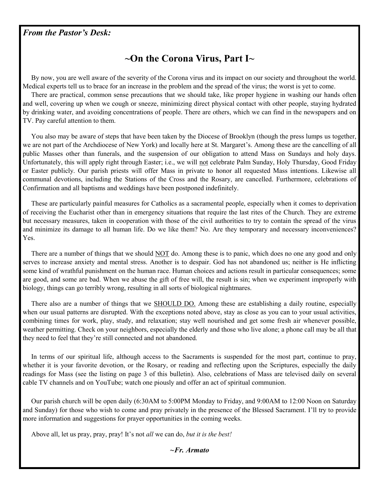#### *From the Pastor's Desk:*

# **~On the Corona Virus, Part I~**

 By now, you are well aware of the severity of the Corona virus and its impact on our society and throughout the world. Medical experts tell us to brace for an increase in the problem and the spread of the virus; the worst is yet to come.

 There are practical, common sense precautions that we should take, like proper hygiene in washing our hands often and well, covering up when we cough or sneeze, minimizing direct physical contact with other people, staying hydrated by drinking water, and avoiding concentrations of people. There are others, which we can find in the newspapers and on TV. Pay careful attention to them.

 You also may be aware of steps that have been taken by the Diocese of Brooklyn (though the press lumps us together, we are not part of the Archdiocese of New York) and locally here at St. Margaret's. Among these are the cancelling of all public Masses other than funerals, and the suspension of our obligation to attend Mass on Sundays and holy days. Unfortunately, this will apply right through Easter; i.e., we will not celebrate Palm Sunday, Holy Thursday, Good Friday or Easter publicly. Our parish priests will offer Mass in private to honor all requested Mass intentions. Likewise all communal devotions, including the Stations of the Cross and the Rosary, are cancelled. Furthermore, celebrations of Confirmation and all baptisms and weddings have been postponed indefinitely.

 These are particularly painful measures for Catholics as a sacramental people, especially when it comes to deprivation of receiving the Eucharist other than in emergency situations that require the last rites of the Church. They are extreme but necessary measures, taken in cooperation with those of the civil authorities to try to contain the spread of the virus and minimize its damage to all human life. Do we like them? No. Are they temporary and necessary inconveniences? Yes.

 There are a number of things that we should NOT do. Among these is to panic, which does no one any good and only serves to increase anxiety and mental stress. Another is to despair. God has not abandoned us; neither is He inflicting some kind of wrathful punishment on the human race. Human choices and actions result in particular consequences; some are good, and some are bad. When we abuse the gift of free will, the result is sin; when we experiment improperly with biology, things can go terribly wrong, resulting in all sorts of biological nightmares.

 There also are a number of things that we SHOULD DO. Among these are establishing a daily routine, especially when our usual patterns are disrupted. With the exceptions noted above, stay as close as you can to your usual activities, combining times for work, play, study, and relaxation; stay well nourished and get some fresh air whenever possible, weather permitting. Check on your neighbors, especially the elderly and those who live alone; a phone call may be all that they need to feel that they're still connected and not abandoned.

 In terms of our spiritual life, although access to the Sacraments is suspended for the most part, continue to pray, whether it is your favorite devotion, or the Rosary, or reading and reflecting upon the Scriptures, especially the daily readings for Mass (see the listing on page 3 of this bulletin). Also, celebrations of Mass are televised daily on several cable TV channels and on YouTube; watch one piously and offer an act of spiritual communion.

 Our parish church will be open daily (6:30AM to 5:00PM Monday to Friday, and 9:00AM to 12:00 Noon on Saturday and Sunday) for those who wish to come and pray privately in the presence of the Blessed Sacrament. I'll try to provide more information and suggestions for prayer opportunities in the coming weeks.

Above all, let us pray, pray, pray! It's not *all* we can do, *but it is the best!*

*~Fr. Armato*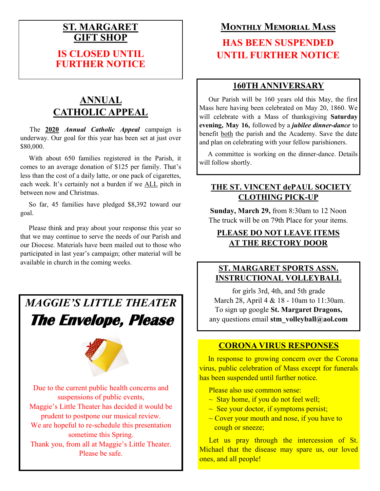## **ST. MARGARET GIFT SHOP**

## **IS CLOSED UNTIL FURTHER NOTICE**

# **ANNUAL CATHOLIC APPEAL**

 The **2020** *Annual Catholic Appeal* campaign is underway. Our goal for this year has been set at just over \$80,000.

 With about 650 families registered in the Parish, it comes to an average donation of \$125 per family. That's less than the cost of a daily latte, or one pack of cigarettes, each week. It's certainly not a burden if we ALL pitch in between now and Christmas.

 So far, 45 families have pledged \$8,392 toward our goal.

 Please think and pray about your response this year so that we may continue to serve the needs of our Parish and our Diocese. Materials have been mailed out to those who participated in last year's campaign; other material will be available in church in the coming weeks.

# *MAGGIE'S LITTLE THEATER*

# **The Envelope, Please**



Due to the current public health concerns and suspensions of public events, Maggie's Little Theater has decided it would be prudent to postpone our musical review. We are hopeful to re-schedule this presentation sometime this Spring. Thank you, from all at Maggie's Little Theater. Please be safe.

# **Monthly Memorial Mass**

# **HAS BEEN SUSPENDED UNTIL FURTHER NOTICE**

#### **160TH ANNIVERSARY**

 Our Parish will be 160 years old this May, the first Mass here having been celebrated on May 20, 1860. We will celebrate with a Mass of thanksgiving **Saturday evening, May 16,** followed by a *jubilee dinner-dance* to benefit both the parish and the Academy. Save the date and plan on celebrating with your fellow parishioners.

 A committee is working on the dinner-dance. Details will follow shortly.

### **THE ST. VINCENT dePAUL SOCIETY CLOTHING PICK-UP**

**Sunday, March 29,** from 8:30am to 12 Noon The truck will be on 79th Place for your items.

#### **PLEASE DO NOT LEAVE ITEMS AT THE RECTORY DOOR**

### **ST. MARGARET SPORTS ASSN. INSTRUCTIONAL VOLLEYBALL**

for girls 3rd, 4th, and 5th grade March 28, April 4 & 18 - 10am to 11:30am. To sign up google **St. Margaret Dragons,**  any questions email **stm\_volleyball@aol.com**

### **CORONA VIRUS RESPONSES**

In response to growing concern over the Corona virus, public celebration of Mass except for funerals has been suspended until further notice.

Please also use common sense:

- $\sim$  Stay home, if you do not feel well;
- $\sim$  See your doctor, if symptoms persist;
- $\sim$  Cover your mouth and nose, if you have to cough or sneeze;

Let us pray through the intercession of St. Michael that the disease may spare us, our loved ones, and all people!